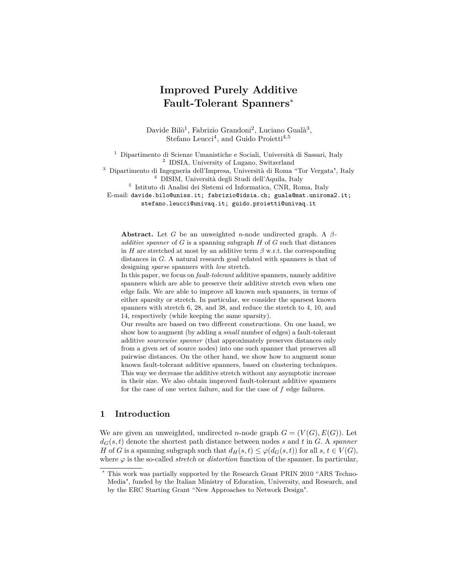# **Improved Purely Additive Fault-Tolerant Spanners**<sup>∗</sup>

Davide Bilò<sup>1</sup>, Fabrizio Grandoni<sup>2</sup>, Luciano Gualà<sup>3</sup>, Stefano Leucci<sup>4</sup>, and Guido Proietti<sup>4,5</sup>

<sup>1</sup> Dipartimento di Scienze Umanistiche e Sociali, Università di Sassari, Italy 2 IDSIA, University of Lugano, Switzerland

<sup>3</sup> Dipartimento di Ingegneria dell'Impresa, Università di Roma "Tor Vergata", Italy <sup>4</sup> DISIM, Università degli Studi dell'Aquila, Italy

5 Istituto di Analisi dei Sistemi ed Informatica, CNR, Roma, Italy

E-mail: davide.bilo@uniss.it; fabrizio@idsia.ch; guala@mat.uniroma2.it; stefano.leucci@univaq.it; guido.proietti@univaq.it

**Abstract.** Let *G* be an unweighted *n*-node undirected graph. A *βadditive spanner* of *G* is a spanning subgraph *H* of *G* such that distances in *H* are stretched at most by an additive term  $\beta$  w.r.t. the corresponding distances in *G*. A natural research goal related with spanners is that of designing *sparse* spanners with *low* stretch.

In this paper, we focus on *fault-tolerant* additive spanners, namely additive spanners which are able to preserve their additive stretch even when one edge fails. We are able to improve all known such spanners, in terms of either sparsity or stretch. In particular, we consider the sparsest known spanners with stretch 6, 28, and 38, and reduce the stretch to 4, 10, and 14, respectively (while keeping the same sparsity).

Our results are based on two different constructions. On one hand, we show how to augment (by adding a *small* number of edges) a fault-tolerant additive *sourcewise spanner* (that approximately preserves distances only from a given set of source nodes) into one such spanner that preserves all pairwise distances. On the other hand, we show how to augment some known fault-tolerant additive spanners, based on clustering techniques. This way we decrease the additive stretch without any asymptotic increase in their size. We also obtain improved fault-tolerant additive spanners for the case of one vertex failure, and for the case of *f* edge failures.

# **1 Introduction**

We are given an unweighted, undirected *n*-node graph  $G = (V(G), E(G))$ . Let  $d_G(s, t)$  denote the shortest path distance between nodes *s* and *t* in *G*. A *spanner H* of *G* is a spanning subgraph such that  $d_H(s,t) \leq \varphi(d_G(s,t))$  for all  $s, t \in V(G)$ , where *ϕ* is the so-called *stretch* or *distortion* function of the spanner. In particular,

This work was partially supported by the Research Grant PRIN 2010 "ARS Techno-Media", funded by the Italian Ministry of Education, University, and Research, and by the ERC Starting Grant "New Approaches to Network Design".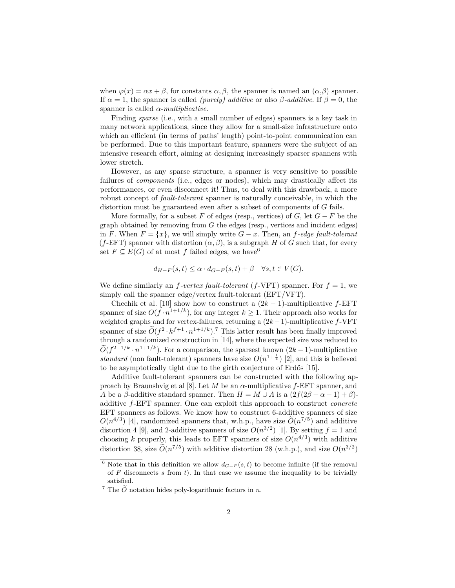when  $\varphi(x) = \alpha x + \beta$ , for constants  $\alpha, \beta$ , the spanner is named an  $(\alpha, \beta)$  spanner. If  $\alpha = 1$ , the spanner is called *(purely) additive* or also  $\beta$ -*additive*. If  $\beta = 0$ , the spanner is called *α*-*multiplicative*.

Finding *sparse* (i.e., with a small number of edges) spanners is a key task in many network applications, since they allow for a small-size infrastructure onto which an efficient (in terms of paths' length) point-to-point communication can be performed. Due to this important feature, spanners were the subject of an intensive research effort, aiming at designing increasingly sparser spanners with lower stretch.

However, as any sparse structure, a spanner is very sensitive to possible failures of *components* (i.e., edges or nodes), which may drastically affect its performances, or even disconnect it! Thus, to deal with this drawback, a more robust concept of *fault-tolerant* spanner is naturally conceivable, in which the distortion must be guaranteed even after a subset of components of *G* fails.

More formally, for a subset  $F$  of edges (resp., vertices) of  $G$ , let  $G - F$  be the graph obtained by removing from *G* the edges (resp., vertices and incident edges) in *F*. When  $F = \{x\}$ , we will simply write  $G - x$ . Then, an *f*-edge fault-tolerant  $(f$ -EFT) spanner with distortion  $(\alpha, \beta)$ , is a subgraph *H* of *G* such that, for every set  $F \subseteq E(G)$  of at most f failed edges, we have <sup>6</sup>

$$
d_{H-F}(s,t) \leq \alpha \cdot d_{G-F}(s,t) + \beta \quad \forall s, t \in V(G).
$$

We define similarly an  $f$ -vertex fault-tolerant ( $f$ -VFT) spanner. For  $f = 1$ , we simply call the spanner edge/vertex fault-tolerant (EFT/VFT).

Chechik et al. [10] show how to construct a  $(2k-1)$ -multiplicative *f*-EFT spanner of size  $O(f \cdot n^{1+1/k})$ , for any integer  $k \ge 1$ . Their approach also works for weighted graphs and for vertex-failures, returning a (2*k*−1)-multiplicative *f*-VFT spanner of size  $O(f^2 \cdot k^{f+1} \cdot n^{1+1/k})$ .<sup>7</sup> This latter result has been finally improved through a randomized construction in [14], where the expected size was reduced to  $\widetilde{O}(f^{2-1/k} \cdot n^{1+1/k})$ . For a comparison, the sparsest known  $(2k-1)$ -multiplicative *standard* (non fault-tolerant) spanners have size  $O(n^{1+\frac{1}{k}})$  [2], and this is believed to be asymptotically tight due to the girth conjecture of Erdős [15].

Additive fault-tolerant spanners can be constructed with the following approach by Braunshvig et al [8]. Let *M* be an *α*-multiplicative *f*-EFT spanner, and *A* be a *β*-additive standard spanner. Then  $H = M \cup A$  is a  $(2f(2\beta + \alpha - 1) + \beta)$ additive *f*-EFT spanner. One can exploit this approach to construct *concrete* EFT spanners as follows. We know how to construct 6-additive spanners of size  $O(n^{4/3})$  [4], randomized spanners that, w.h.p., have size  $O(n^{7/5})$  and additive distortion 4 [9], and 2-additive spanners of size  $O(n^{3/2})$  [1]. By setting  $f = 1$  and choosing *k* properly, this leads to EFT spanners of size  $O(n^{4/3})$  with additive distortion 38, size  $\tilde{O}(n^{7/5})$  with additive distortion 28 (w.h.p.), and size  $O(n^{3/2})$ 

<sup>&</sup>lt;sup>6</sup> Note that in this definition we allow  $d_{G-F}(s,t)$  to become infinite (if the removal of *F* disconnects *s* from *t*). In that case we assume the inequality to be trivially satisfied.

<sup>&</sup>lt;sup>7</sup> The  $\tilde{O}$  notation hides poly-logarithmic factors in *n*.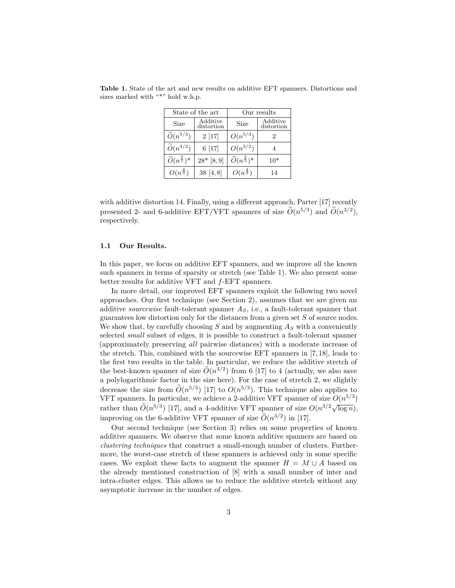| State of the art                   |                        | Our results                        |                        |
|------------------------------------|------------------------|------------------------------------|------------------------|
| <b>Size</b>                        | Additive<br>distortion | Size                               | Additive<br>distortion |
| $\widetilde{O}(n^{5/3})$           | 2[17]                  | $O(n^{5/3})$                       |                        |
| $\widetilde{O}(n^{3/2})$           | 6[17]                  | $O(n^{3/2})$                       |                        |
| $\widetilde{O}(n^{\frac{7}{5}})^*$ | $28* [8,9]$            | $\widetilde{O}(n^{\frac{7}{5}})^*$ | $10*$                  |
| $O(n^{\frac{4}{3}})$               | 38[4,8]                | $O(n^{\frac{4}{3}})$               | 14                     |

**Table 1.** State of the art and new results on additive EFT spanners. Distortions and sizes marked with "\*" hold w.h.p.

with additive distortion 14. Finally, using a different approach, Parter [17] recently presented 2- and 6-additive EFT/VFT spanners of size  $\tilde{O}(n^{5/3})$  and  $\tilde{O}(n^{3/2})$ , respectively.

#### **1.1 Our Results.**

In this paper, we focus on additive EFT spanners, and we improve all the known such spanners in terms of sparsity or stretch (see Table 1). We also present some better results for additive VFT and *f*-EFT spanners.

In more detail, our improved EFT spanners exploit the following two novel approaches. Our first technique (see Section 2), assumes that we are given an additive *sourcewise* fault-tolerant spanner *AS*, i.e., a fault-tolerant spanner that guarantees low distortion only for the distances from a given set *S* of source nodes. We show that, by carefully choosing *S* and by augmenting *A<sup>S</sup>* with a conveniently selected *small* subset of edges, it is possible to construct a fault-tolerant spanner (approximately preserving *all* pairwise distances) with a moderate increase of the stretch. This, combined with the sourcewise EFT spanners in [7, 18], leads to the first two results in the table. In particular, we reduce the additive stretch of the best-known spanner of size  $\tilde{O}(n^{3/2})$  from 6 [17] to 4 (actually, we also save a polylogarithmic factor in the size here). For the case of stretch 2, we slightly decrease the size from  $O(n^{5/3})$  [17] to  $O(n^{5/3})$ . This technique also applies to VFT spanners. In particular, we achieve a 2-additive VFT spanner of size  $O(n^{5/3})$ rather than  $\widetilde{O}(n^{5/3})$  [17], and a 4-additive VFT spanner of size  $O(n^{3/2}\sqrt{\log n})$ , improving on the 6-additive VFT spanner of size  $\tilde{O}(n^{3/2})$  in [17].

Our second technique (see Section 3) relies on some properties of known additive spanners. We observe that some known additive spanners are based on *clustering techniques* that construct a small-enough number of clusters. Furthermore, the worst-case stretch of these spanners is achieved only in some specific cases. We exploit these facts to augment the spanner  $H = M \cup A$  based on the already mentioned construction of [8] with a small number of inter and intra-cluster edges. This allows us to reduce the additive stretch without any asymptotic increase in the number of edges.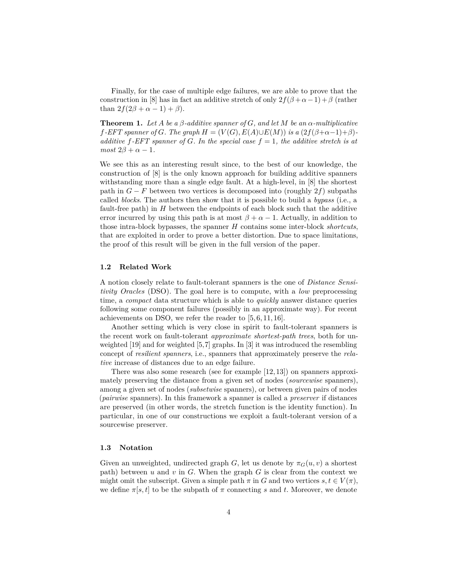Finally, for the case of multiple edge failures, we are able to prove that the construction in [8] has in fact an additive stretch of only  $2f(\beta + \alpha - 1) + \beta$  (rather than  $2f(2\beta + \alpha - 1) + \beta$ ).

**Theorem 1.** *Let A be a β-additive spanner of G, and let M be an α-multiplicative*  $f$ *-EFT spanner of G. The graph*  $H = (V(G), E(A) \cup E(M))$  *is a*  $(2f(\beta+\alpha-1)+\beta)$ *additive f-EFT spanner of G. In the special case f* = 1*, the additive stretch is at*  $most 2\beta + \alpha - 1$ .

We see this as an interesting result since, to the best of our knowledge, the construction of [8] is the only known approach for building additive spanners withstanding more than a single edge fault. At a high-level, in [8] the shortest path in  $G - F$  between two vertices is decomposed into (roughly 2 $f$ ) subpaths called *blocks*. The authors then show that it is possible to build a *bypass* (i.e., a fault-free path) in *H* between the endpoints of each block such that the additive error incurred by using this path is at most  $\beta + \alpha - 1$ . Actually, in addition to those intra-block bypasses, the spanner *H* contains some inter-block *shortcuts*, that are exploited in order to prove a better distortion. Due to space limitations, the proof of this result will be given in the full version of the paper.

### **1.2 Related Work**

A notion closely relate to fault-tolerant spanners is the one of *Distance Sensitivity Oracles* (DSO). The goal here is to compute, with a *low* preprocessing time, a *compact* data structure which is able to *quickly* answer distance queries following some component failures (possibly in an approximate way). For recent achievements on DSO, we refer the reader to [5, 6, 11, 16].

Another setting which is very close in spirit to fault-tolerant spanners is the recent work on fault-tolerant *approximate shortest-path trees*, both for unweighted [19] and for weighted [5,7] graphs. In [3] it was introduced the resembling concept of *resilient spanners*, i.e., spanners that approximately preserve the *relative* increase of distances due to an edge failure.

There was also some research (see for example [12, 13]) on spanners approximately preserving the distance from a given set of nodes (*sourcewise* spanners), among a given set of nodes (*subsetwise* spanners), or between given pairs of nodes (*pairwise* spanners). In this framework a spanner is called a *preserver* if distances are preserved (in other words, the stretch function is the identity function). In particular, in one of our constructions we exploit a fault-tolerant version of a sourcewise preserver.

#### **1.3 Notation**

Given an unweighted, undirected graph *G*, let us denote by  $\pi_G(u, v)$  a shortest path) between  $u$  and  $v$  in  $G$ . When the graph  $G$  is clear from the context we might omit the subscript. Given a simple path  $\pi$  in  $G$  and two vertices  $s, t \in V(\pi)$ , we define  $\pi[s, t]$  to be the subpath of  $\pi$  connecting *s* and *t*. Moreover, we denote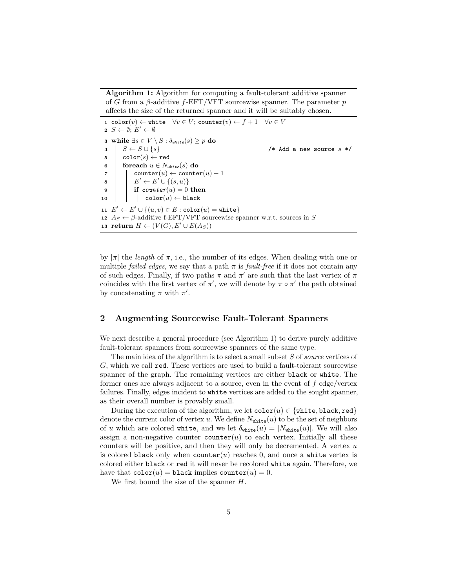**Algorithm 1:** Algorithm for computing a fault-tolerant additive spanner of *G* from a *β*-additive *f*-EFT/VFT sourcewise spanner. The parameter *p* affects the size of the returned spanner and it will be suitably chosen.

 color(*v*) ← white  $\forall v \in V$ ; counter(*v*) ←  $f + 1$   $\forall v \in V$  *S* ← Ø; *E'* ← Ø **while** ∃*s* ∈ *V* \ *S* : *δwhite*(*s*) ≥ *p* **do** *S* ← *S* ∪ {*s*} /\* Add a new source *s* \*/  $\mathbf{5}$  | color $(s) \leftarrow \texttt{red}$   $\int$  **foreach**  $u \in N_{white}(s)$  **do**   $\vert$  counter $(u) \leftarrow$  counter $(u) - 1$   $\vert$   $\vert$   $E' \leftarrow E' \cup \{(s, u)\}\$  **if**  $counter(u) = 0$  **then**  | color $(u) \leftarrow \texttt{black}$  $E' \leftarrow E' \cup \{(u, v) \in E : \text{color}(u) = \text{white}\}\$   $A_S \leftarrow \beta$ -additive f-EFT/VFT sourcewise spanner w.r.t. sources in *S* **return**  $H \leftarrow (V(G), E' \cup E(A_S))$ 

by  $|\pi|$  the *length* of  $\pi$ , i.e., the number of its edges. When dealing with one or multiple *failed edges*, we say that a path  $\pi$  is *fault-free* if it does not contain any of such edges. Finally, if two paths  $\pi$  and  $\pi'$  are such that the last vertex of  $\pi$ coincides with the first vertex of  $\pi'$ , we will denote by  $\pi \circ \pi'$  the path obtained by concatenating  $\pi$  with  $\pi'$ .

# **2 Augmenting Sourcewise Fault-Tolerant Spanners**

We next describe a general procedure (see Algorithm 1) to derive purely additive fault-tolerant spanners from sourcewise spanners of the same type.

The main idea of the algorithm is to select a small subset *S* of *source* vertices of *G*, which we call red. These vertices are used to build a fault-tolerant sourcewise spanner of the graph. The remaining vertices are either black or white. The former ones are always adjacent to a source, even in the event of *f* edge/vertex failures. Finally, edges incident to white vertices are added to the sought spanner, as their overall number is provably small.

During the execution of the algorithm, we let  $\text{color}(u) \in \{\text{white}, \text{black}, \text{red}\}\$ denote the current color of vertex *u*. We define  $N_{\text{white}}(u)$  to be the set of neighbors of *u* which are colored white, and we let  $\delta_{\text{white}}(u) = |N_{\text{white}}(u)|$ . We will also assign a non-negative counter counter $(u)$  to each vertex. Initially all these counters will be positive, and then they will only be decremented. A vertex *u* is colored black only when counter $(u)$  reaches 0, and once a white vertex is colored either black or red it will never be recolored white again. Therefore, we have that  $\text{color}(u) = \text{black implies } \text{counter}(u) = 0.$ 

We first bound the size of the spanner *H*.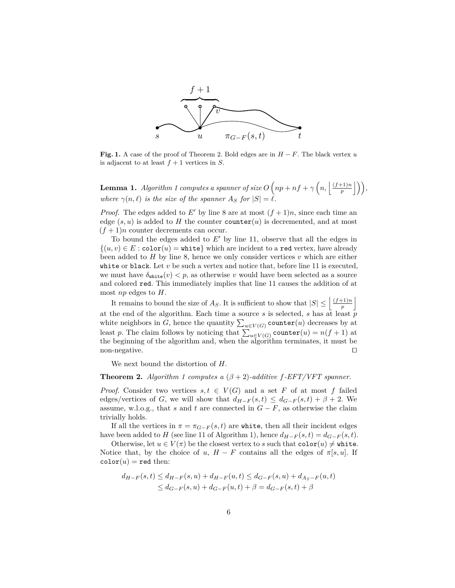

**Fig. 1.** A case of the proof of Theorem 2. Bold edges are in *H* − *F*. The black vertex *u* is adjacent to at least  $f + 1$  vertices in  $S$ .

**Lemma 1.** *Algorithm 1 computes a spanner of size*  $O(np + nf + \gamma(n, \frac{\vert (f+1)n \vert}{n})$  $\left(\bigcap_{p}^{+1\right)n}\right|$ ), *where*  $\gamma(n, \ell)$  *is the size of the spanner*  $A_S$  *for*  $|S| = \ell$ *.* 

*Proof.* The edges added to *E'* by line 8 are at most  $(f + 1)n$ , since each time an edge  $(s, u)$  is added to *H* the counter counter $(u)$  is decremented, and at most  $(f+1)n$  counter decrements can occur.

To bound the edges added to  $E'$  by line 11, observe that all the edges in  $\{(u, v) \in E : \text{color}(u) = \text{white}\}\$  which are incident to a red vertex, have already been added to *H* by line 8, hence we only consider vertices *v* which are either white or black. Let  $v$  be such a vertex and notice that, before line 11 is executed, we must have  $\delta_{\text{white}}(v) < p$ , as otherwise *v* would have been selected as a source and colored red. This immediately implies that line 11 causes the addition of at most *np* edges to *H*.

It remains to bound the size of  $A_S$ . It is sufficient to show that  $|S| \leq \left| \frac{(f+1)n}{n} \right|$  $\left\lfloor \frac{p}{p} \right\rfloor$ at the end of the algorithm. Each time a source  $s$  is selected,  $s$  has at least  $\overline{p}$ white neighbors in *G*, hence the quantity  $\sum_{u \in V(G)} \mathtt{counter}(u)$  decreases by at least *p*. The claim follows by noticing that  $\sum_{u \in V(G)} \text{counter}(u) = n(f+1)$  at the beginning of the algorithm and, when the algorithm terminates, it must be non-negative.  $\Box$ 

We next bound the distortion of *H*.

**Theorem 2.** *Algorithm 1 computes a*  $(\beta + 2)$ *-additive f*-*EFT/VFT spanner.* 

*Proof.* Consider two vertices  $s, t \in V(G)$  and a set *F* of at most *f* failed edges/vertices of *G*, we will show that  $d_{H-F}(s,t) \leq d_{G-F}(s,t) + \beta + 2$ . We assume, w.l.o.g., that *s* and *t* are connected in  $G - F$ , as otherwise the claim trivially holds.

If all the vertices in  $\pi = \pi_{G-F}(s,t)$  are white, then all their incident edges have been added to *H* (see line 11 of Algorithm 1), hence  $d_{H-F}(s,t) = d_{G-F}(s,t)$ .

Otherwise, let  $u \in V(\pi)$  be the closest vertex to *s* such that  $\text{color}(u) \neq \text{white}$ . Notice that, by the choice of *u*,  $H - F$  contains all the edges of  $\pi[s, u]$ . If  $\text{color}(u) = \text{red}$  then:

$$
d_{H-F}(s,t) \le d_{H-F}(s,u) + d_{H-F}(u,t) \le d_{G-F}(s,u) + d_{A_S-F}(u,t)
$$
  
\n
$$
\le d_{G-F}(s,u) + d_{G-F}(u,t) + \beta = d_{G-F}(s,t) + \beta
$$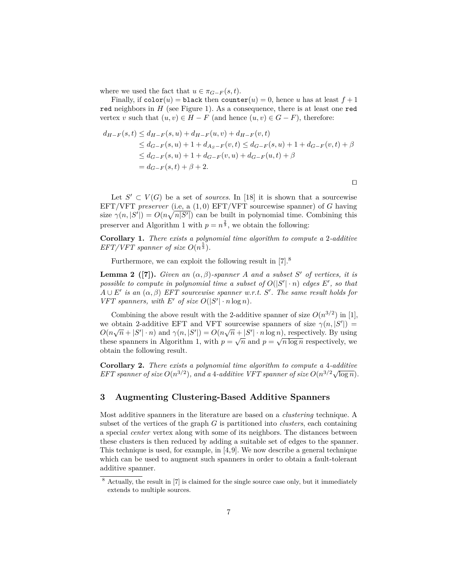where we used the fact that  $u \in \pi_{G-F}(s,t)$ .

Finally, if  $\text{color}(u) = \text{black}$  then  $\text{counter}(u) = 0$ , hence *u* has at least  $f + 1$ red neighbors in *H* (see Figure 1). As a consequence, there is at least one red vertex *v* such that  $(u, v) \in H - F$  (and hence  $(u, v) \in G - F$ ), therefore:

$$
d_{H-F}(s,t) \le d_{H-F}(s,u) + d_{H-F}(u,v) + d_{H-F}(v,t)
$$
  
\n
$$
\le d_{G-F}(s,u) + 1 + d_{A_S-F}(v,t) \le d_{G-F}(s,u) + 1 + d_{G-F}(v,t) + \beta
$$
  
\n
$$
\le d_{G-F}(s,u) + 1 + d_{G-F}(v,u) + d_{G-F}(u,t) + \beta
$$
  
\n
$$
= d_{G-F}(s,t) + \beta + 2.
$$

 $\Box$ 

Let  $S' \subset V(G)$  be a set of *sources*. In [18] it is shown that a sourcewise EFT/VFT *preserver* (i.e, a (1*,* 0) EFT/VFT sourcewise spanner) of *G* having size  $\gamma(n, |S'|) = O(n\sqrt{n|S'|})$  can be built in polynomial time. Combining this preserver and Algorithm 1 with  $p = n^{\frac{2}{3}}$ , we obtain the following:

**Corollary 1.** *There exists a polynomial time algorithm to compute a* 2*-additive EFT/VFT spanner of size*  $O(n^{\frac{5}{3}})$ *.* 

Furthermore, we can exploit the following result in  $[7].^8$ 

**Lemma 2** ([7]). *Given an*  $(\alpha, \beta)$ -spanner *A* and a subset *S*<sup>*'*</sup> of vertices, it is *possible to compute in polynomial time a subset of*  $O(|S'|\cdot n)$  *edges*  $E'$ , so that  $A \cup E'$  *is an*  $(\alpha, \beta)$  *EFT sourcewise spanner w.r.t. S'*. The same result holds for *VFT spanners, with E'* of size  $O(|S'| \cdot n \log n)$ *.* 

Combining the above result with the 2-additive spanner of size  $O(n^{3/2})$  in [1], we obtain 2-additive EFT and VFT sourcewise spanners of size  $\gamma(n, |S'|)$  = we obtain 2-additive EFT and VFT sourcewise spanners of size  $\gamma(n, |\beta|) = O(n\sqrt{n} + |S'| \cdot n)$  and  $\gamma(n, |S'|) = O(n\sqrt{n} + |S'| \cdot n \log n)$ , respectively. By using these spanners in Algorithm 1, with  $p = \sqrt{n}$  and  $p = \sqrt{n \log n}$  respectively, we obtain the following result.

**Corollary 2.** *There exists a polynomial time algorithm to compute a* 4*-additive* **EFT** spanner of size  $O(n^{3/2})$ , and a 4-additive VFT spanner of size  $O(n^{3/2}\sqrt{\log n})$ .

## **3 Augmenting Clustering-Based Additive Spanners**

Most additive spanners in the literature are based on a *clustering* technique. A subset of the vertices of the graph *G* is partitioned into *clusters*, each containing a special *center* vertex along with some of its neighbors. The distances between these clusters is then reduced by adding a suitable set of edges to the spanner. This technique is used, for example, in [4,9]. We now describe a general technique which can be used to augment such spanners in order to obtain a fault-tolerant additive spanner.

<sup>8</sup> Actually, the result in [7] is claimed for the single source case only, but it immediately extends to multiple sources.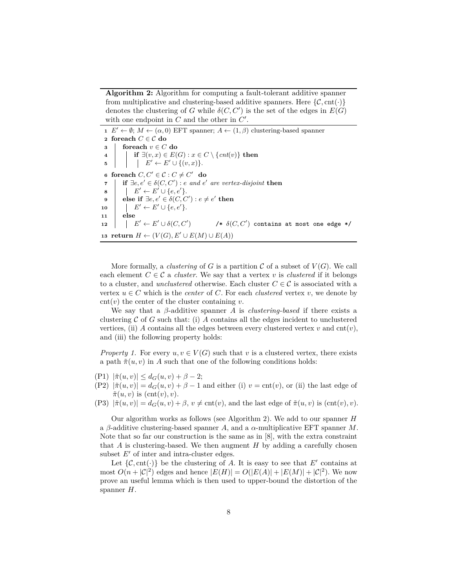**Algorithm 2:** Algorithm for computing a fault-tolerant additive spanner from multiplicative and clustering-based additive spanners. Here  $\{\mathcal{C}, \text{cnt}(\cdot)\}\$ denotes the clustering of *G* while  $\delta(C, C')$  is the set of the edges in  $E(G)$ with one endpoint in  $C$  and the other in  $C'$ .

  $E' \leftarrow \emptyset$ ;  $M \leftarrow (\alpha, 0)$  EFT spanner;  $A \leftarrow (1, \beta)$  clustering-based spanner **foreach** *C* ∈ C **do foreach**  $v \in C$  **do if** ∃ $(v, x) \in E(G) : x \in C \setminus \{cnt(v)\}\$  then  $\vert \cdot \vert E' \leftarrow E' \cup \{(v, x)\}.$  **foreach**  $C, C' \in \mathcal{C} : C \neq C'$  **do if** ∃*e*,  $e' \in \delta(C, C')$  : *e and e' are vertex-disjoint* **then**   $\vert \quad \vert E' \leftarrow E' \cup \{e, e'\}.$  $\mathbf{9}$  **else if**  $\exists e, e' \in \delta(C, C') : e \neq e'$  then  $\vert$   $E' \leftarrow E' \cup \{e, e'\}.$ **<sup>11</sup> else**  $\vert$   $E' \leftarrow E' \cup \delta(C, C')$  $\phi$  /\*  $\delta(C, C')$  contains at most one edge \*/ **return** *H* ←  $(V(G), E' \cup E(M) \cup E(A))$ 

More formally, a *clustering* of *G* is a partition  $C$  of a subset of  $V(G)$ . We call each element  $C \in \mathcal{C}$  a *cluster*. We say that a vertex *v* is *clustered* if it belongs to a cluster, and *unclustered* otherwise. Each cluster  $C \in \mathcal{C}$  is associated with a vertex  $u \in C$  which is the *center* of *C*. For each *clustered* vertex *v*, we denote by  $\text{cnt}(v)$  the center of the cluster containing *v*.

We say that a *β*-additive spanner *A* is *clustering-based* if there exists a clustering  $\mathcal C$  of  $G$  such that: (i)  $A$  contains all the edges incident to unclustered vertices, (ii) *A* contains all the edges between every clustered vertex *v* and  $\text{cnt}(v)$ , and (iii) the following property holds:

*Property 1.* For every  $u, v \in V(G)$  such that *v* is a clustered vertex, there exists a path  $\tilde{\pi}(u, v)$  in *A* such that one of the following conditions holds:

- $|P1\rangle |\tilde{\pi}(u, v)| \leq d_G(u, v) + \beta 2;$
- (P2)  $|\tilde{\pi}(u, v)| = d_G(u, v) + \beta 1$  and either (i)  $v = \text{cnt}(v)$ , or (ii) the last edge of  $\tilde{\pi}(u, v)$  is  $(\text{cnt}(v), v)$ .
- $(P3)$   $|\tilde{\pi}(u, v)| = d_G(u, v) + \beta$ ,  $v \neq \text{cnt}(v)$ , and the last edge of  $\tilde{\pi}(u, v)$  is  $(\text{cnt}(v), v)$ .

Our algorithm works as follows (see Algorithm 2). We add to our spanner *H* a *β*-additive clustering-based spanner *A*, and a *α*-multiplicative EFT spanner *M*. Note that so far our construction is the same as in [8], with the extra constraint that *A* is clustering-based. We then augment *H* by adding a carefully chosen subset  $E'$  of inter and intra-cluster edges.

Let  $\{\mathcal{C}, \text{cnt}(\cdot)\}\)$  be the clustering of *A*. It is easy to see that *E'* contains at most  $O(n+|\mathcal{C}|^2)$  edges and hence  $|E(H)| = O(|E(A)| + |E(M)| + |\mathcal{C}|^2)$ . We now prove an useful lemma which is then used to upper-bound the distortion of the spanner *H*.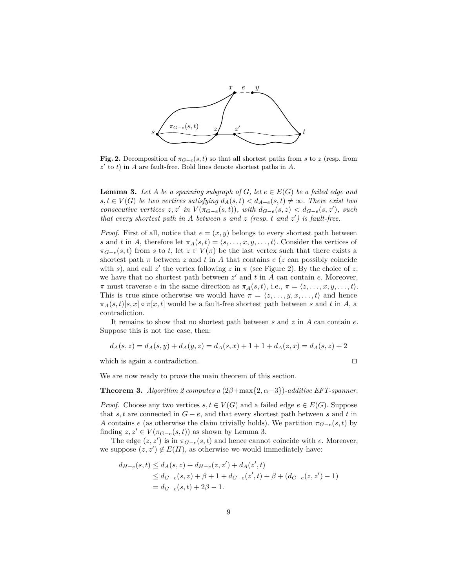

**Fig. 2.** Decomposition of  $\pi_{G-e}(s,t)$  so that all shortest paths from *s* to *z* (resp. from  $z'$  to  $t$ ) in *A* are fault-free. Bold lines denote shortest paths in *A*.

**Lemma 3.** Let *A* be a spanning subgraph of *G*, let  $e \in E(G)$  be a failed edge and *s, t* ∈ *V*(*G*) *be two vertices satisfying*  $d_A(s,t) < d_{A-e}(s,t) \neq \infty$ *. There exist two consecutive vertices*  $z, z'$  *in*  $V(\pi_{G-e}(s,t))$ *, with*  $d_{G-e}(s, z) < d_{G-e}(s, z')$ *, such that every shortest path in A between s and z (resp. t and z* 0 *) is fault-free.*

*Proof.* First of all, notice that  $e = (x, y)$  belongs to every shortest path between *s* and *t* in *A*, therefore let  $\pi_A(s,t) = \langle s, \ldots, x, y, \ldots, t \rangle$ . Consider the vertices of  $\pi_{G-e}(s,t)$  from *s* to *t*, let  $z \in V(\pi)$  be the last vertex such that there exists a shortest path  $\pi$  between  $z$  and  $t$  in  $A$  that contains  $e$  ( $z$  can possibly coincide with *s*), and call  $z'$  the vertex following  $z$  in  $\pi$  (see Figure 2). By the choice of  $z$ , we have that no shortest path between  $z'$  and  $t$  in  $A$  can contain  $e$ . Moreover, *π* must traverse *e* in the same direction as  $\pi_A(s,t)$ , i.e.,  $\pi = \langle z, \ldots, x, y, \ldots, t \rangle$ . This is true since otherwise we would have  $\pi = \langle z, \ldots, y, x, \ldots, t \rangle$  and hence  $\pi_A(s,t)[s,x] \circ \pi[x,t]$  would be a fault-free shortest path between *s* and *t* in *A*, a contradiction.

It remains to show that no shortest path between *s* and *z* in *A* can contain *e*. Suppose this is not the case, then:

$$
d_A(s, z) = d_A(s, y) + d_A(y, z) = d_A(s, x) + 1 + 1 + d_A(z, x) = d_A(s, z) + 2
$$

which is again a contradiction.

$$
\mathbb{Z}^{\mathbb{Z}}
$$

We are now ready to prove the main theorem of this section.

**Theorem 3.** *Algorithm 2 computes a*  $(2\beta + \max\{2, \alpha - 3\})$ *-additive EFT-spanner.* 

*Proof.* Choose any two vertices  $s, t \in V(G)$  and a failed edge  $e \in E(G)$ . Suppose that  $s, t$  are connected in  $G - e$ , and that every shortest path between  $s$  and  $t$  in *A* contains *e* (as otherwise the claim trivially holds). We partition  $\pi_{G-e}(s,t)$  by finding  $z, z' \in V(\pi_{G-e}(s,t))$  as shown by Lemma 3.

The edge  $(z, z')$  is in  $\pi_{G-e}(s, t)$  and hence cannot coincide with *e*. Moreover, we suppose  $(z, z') \notin E(H)$ , as otherwise we would immediately have:

$$
d_{H-e}(s,t) \le d_A(s,z) + d_{H-e}(z,z') + d_A(z',t)
$$
  
\n
$$
\le d_{G-e}(s,z) + \beta + 1 + d_{G-e}(z',t) + \beta + (d_{G-e}(z,z') - 1)
$$
  
\n
$$
= d_{G-e}(s,t) + 2\beta - 1.
$$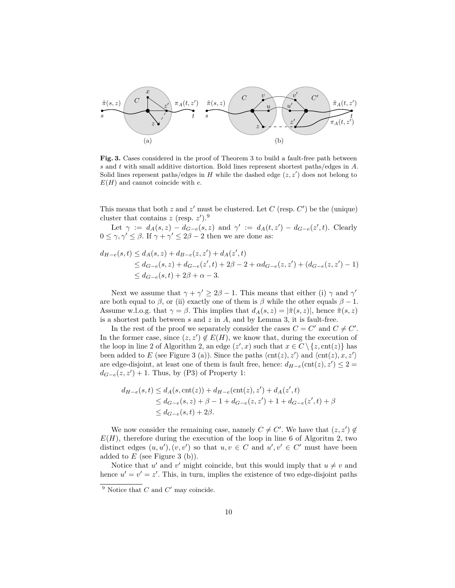

Fig. 3. Cases considered in the proof of Theorem 3 to build a fault-free path between *s* and *t* with small additive distortion. Bold lines represent shortest paths/edges in *A*. Solid lines represent paths/edges in  $H$  while the dashed edge  $(z, z')$  does not belong to *E*(*H*) and cannot coincide with *e*.

This means that both  $z$  and  $z'$  must be clustered. Let  $C$  (resp.  $C'$ ) be the (unique) cluster that contains  $z$  (resp.  $z'$ ).<sup>9</sup>

Let  $\gamma := d_A(s, z) - d_{G-e}(s, z)$  and  $\gamma' := d_A(t, z') - d_{G-e}(z', t)$ . Clearly  $0 \leq \gamma, \gamma' \leq \beta$ . If  $\gamma + \gamma' \leq 2\beta - 2$  then we are done as:

$$
d_{H-e}(s,t) \le d_A(s,z) + d_{B-e}(z,z') + d_A(z',t)
$$
  
\n
$$
\le d_{G-e}(s,z) + d_{G-e}(z',t) + 2\beta - 2 + \alpha d_{G-e}(z,z') + (d_{G-e}(z,z') - 1)
$$
  
\n
$$
\le d_{G-e}(s,t) + 2\beta + \alpha - 3.
$$

Next we assume that  $\gamma + \gamma' \geq 2\beta - 1$ . This means that either (i)  $\gamma$  and  $\gamma'$ are both equal to *β*, or (ii) exactly one of them is *β* while the other equals  $\beta - 1$ . Assume w.l.o.g. that  $\gamma = \beta$ . This implies that  $d_A(s, z) = |\tilde{\pi}(s, z)|$ , hence  $\tilde{\pi}(s, z)$ is a shortest path between *s* and *z* in *A*, and by Lemma 3, it is fault-free.

In the rest of the proof we separately consider the cases  $C = C'$  and  $C \neq C'$ . In the former case, since  $(z, z') \notin E(H)$ , we know that, during the execution of the loop in line 2 of Algorithm 2, an edge  $(z', x)$  such that  $x \in C \setminus \{z, \text{cnt}(z)\}\)$  has been added to *E* (see Figure 3 (a)). Since the paths  $\langle \text{cnt}(z), z' \rangle$  and  $\langle \text{cnt}(z), x, z' \rangle$ are edge-disjoint, at least one of them is fault free, hence:  $d_{H-e}(\text{cnt}(z), z') \leq 2 =$  $d_{G-e}(z, z') + 1$ . Thus, by (P3) of Property 1:

$$
d_{H-e}(s,t) \le d_A(s,\text{cnt}(z)) + d_{H-e}(\text{cnt}(z),z') + d_A(z',t)
$$
  
\n
$$
\le d_{G-e}(s,z) + \beta - 1 + d_{G-e}(z,z') + 1 + d_{G-e}(z',t) + \beta
$$
  
\n
$$
\le d_{G-e}(s,t) + 2\beta.
$$

We now consider the remaining case, namely  $C \neq C'$ . We have that  $(z, z') \notin$  $E(H)$ , therefore during the execution of the loop in line 6 of Algoritm 2, two distinct edges  $(u, u'), (v, v')$  so that  $u, v \in C$  and  $u', v' \in C'$  must have been added to *E* (see Figure 3 (b)).

Notice that *u'* and *v'* might coincide, but this would imply that  $u \neq v$  and hence  $u' = v' = z'$ . This, in turn, implies the existence of two edge-disjoint paths

 $9$  Notice that  $C$  and  $C'$  may coincide.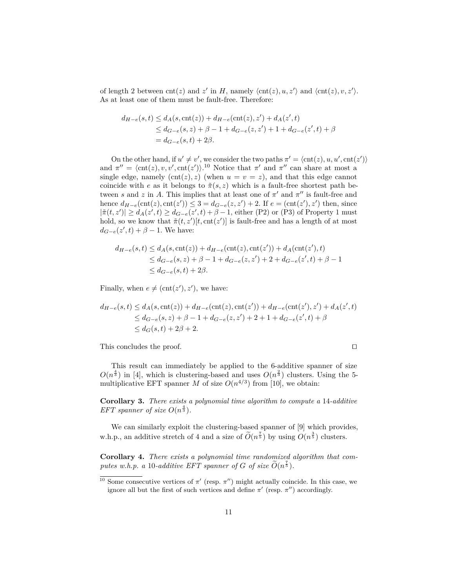of length 2 between  $\text{cnt}(z)$  and  $z'$  in *H*, namely  $\langle \text{cnt}(z), u, z' \rangle$  and  $\langle \text{cnt}(z), v, z' \rangle$ . As at least one of them must be fault-free. Therefore:

$$
d_{H-e}(s,t) \le d_A(s,\text{cnt}(z)) + d_{H-e}(\text{cnt}(z),z') + d_A(z',t)
$$
  
\n
$$
\le d_{G-e}(s,z) + \beta - 1 + d_{G-e}(z,z') + 1 + d_{G-e}(z',t) + \beta
$$
  
\n
$$
= d_{G-e}(s,t) + 2\beta.
$$

On the other hand, if  $u' \neq v'$ , we consider the two paths  $\pi' = \langle \text{cnt}(z), u, u', \text{cnt}(z') \rangle$ and  $\pi'' = \langle \text{cnt}(z), v, v', \text{cnt}(z') \rangle$ <sup>10</sup> Notice that  $\pi'$  and  $\pi''$  can share at most a single edge, namely  $(\text{cnt}(z), z)$  (when  $u = v = z$ ), and that this edge cannot coincide with *e* as it belongs to  $\tilde{\pi}(s, z)$  which is a fault-free shortest path between *s* and *z* in *A*. This implies that at least one of  $\pi'$  and  $\pi''$  is fault-free and hence  $d_{H-e}(\text{cnt}(z), \text{cnt}(z'))$  ≤ 3 =  $d_{G-e}(z, z') + 2$ . If  $e = (\text{cnt}(z'), z')$  then, since  $|\tilde{\pi}(t, z')| \geq d_A(z', t) \geq d_{G-e}(z', t) + \beta - 1$ , either (P2) or (P3) of Property 1 must hold, so we know that  $\tilde{\pi}(t, z')[t, \text{cnt}(z')]$  is fault-free and has a length of at most  $d_{G-e}(z',t) + \beta - 1$ . We have:

$$
d_{H-e}(s,t) \le d_A(s,\text{cnt}(z)) + d_{H-e}(\text{cnt}(z),\text{cnt}(z')) + d_A(\text{cnt}(z'),t)
$$
  
\n
$$
\le d_{G-e}(s,z) + \beta - 1 + d_{G-e}(z,z') + 2 + d_{G-e}(z',t) + \beta - 1
$$
  
\n
$$
\le d_{G-e}(s,t) + 2\beta.
$$

Finally, when  $e \neq (\text{cnt}(z'), z')$ , we have:

$$
d_{H-e}(s,t) \le d_A(s,\text{cnt}(z)) + d_{H-e}(\text{cnt}(z),\text{cnt}(z')) + d_{H-e}(\text{cnt}(z'),z') + d_A(z',t)
$$
  
\n
$$
\le d_{G-e}(s,z) + \beta - 1 + d_{G-e}(z,z') + 2 + 1 + d_{G-e}(z',t) + \beta
$$
  
\n
$$
\le d_G(s,t) + 2\beta + 2.
$$

This concludes the proof.  $\Box$ 

This result can immediately be applied to the 6-additive spanner of size  $O(n^{\frac{4}{3}})$  in [4], which is clustering-based and uses  $O(n^{\frac{2}{3}})$  clusters. Using the 5multiplicative EFT spanner *M* of size  $O(n^{4/3})$  from [10], we obtain:

**Corollary 3.** *There exists a polynomial time algorithm to compute a* 14*-additive EFT spanner of size*  $O(n^{\frac{4}{3}})$ *.* 

We can similarly exploit the clustering-based spanner of  $[9]$  which provides, w.h.p., an additive stretch of 4 and a size of  $\tilde{O}(n^{\frac{7}{5}})$  by using  $O(n^{\frac{3}{5}})$  clusters.

**Corollary 4.** *There exists a polynomial time randomized algorithm that computes w.h.p. a* 10-*additive EFT spanner of G of size*  $\widetilde{O}(n^{\frac{7}{5}})$ *.* 

<sup>&</sup>lt;sup>10</sup> Some consecutive vertices of  $\pi'$  (resp.  $\pi''$ ) might actually coincide. In this case, we ignore all but the first of such vertices and define  $\pi'$  (resp.  $\pi''$ ) accordingly.